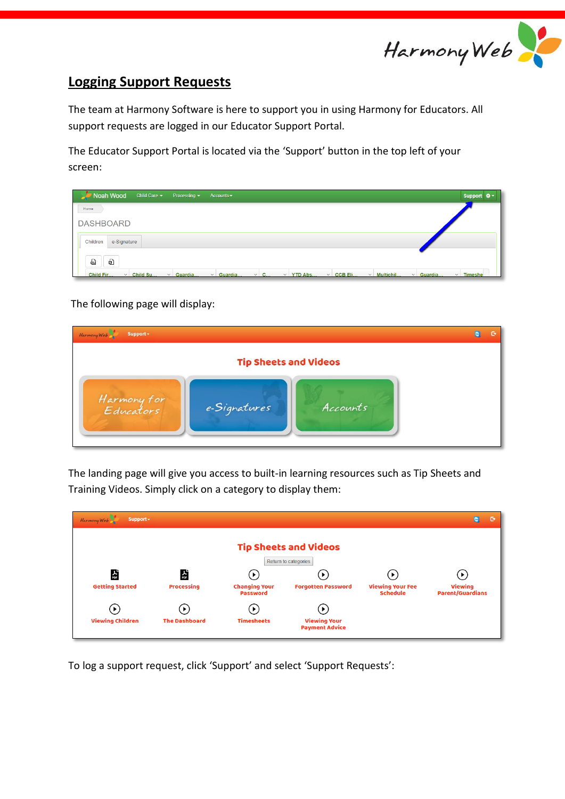

## **Logging Support Requests**

The team at Harmony Software is here to support you in using Harmony for Educators. All support requests are logged in our Educator Support Portal.

The Educator Support Portal is located via the 'Support' button in the top left of your screen:

| Noah Wood<br>Child Care $\sim$<br>Processing $\sim$     | Accounts $\sim$                                                                | Support $\mathbf{\hat{w}}$ -                          |
|---------------------------------------------------------|--------------------------------------------------------------------------------|-------------------------------------------------------|
| Home                                                    |                                                                                |                                                       |
| <b>DASHBOARD</b>                                        |                                                                                |                                                       |
| e-Signature<br>Children                                 |                                                                                |                                                       |
| ଇ<br>Ø                                                  |                                                                                |                                                       |
| Child Fir<br>$\vee$ Child Su<br>Guardia<br>$\checkmark$ | $\vee$ CCB Eli<br>$\vee$ Guardia<br>$\vee$ C<br>$\vee$ YTD Abs<br>$\checkmark$ | Multichil<br>$\vee$ Timeshe<br>Guardia<br>$\check{~}$ |

The following page will display:

| Support +<br>Harmony Web |                              |          | o | r |
|--------------------------|------------------------------|----------|---|---|
|                          | <b>Tip Sheets and Videos</b> |          |   |   |
| Harmony for<br>Educators | e-Signatures                 | Accounts |   |   |

The landing page will give you access to built-in learning resources such as Tip Sheets and Training Videos. Simply click on a category to display them:

| Harmony Web<br>Support -                         |                                            |                                            |                                                                         |                                            | $\bullet$<br>G                                              |
|--------------------------------------------------|--------------------------------------------|--------------------------------------------|-------------------------------------------------------------------------|--------------------------------------------|-------------------------------------------------------------|
|                                                  |                                            |                                            | <b>Tip Sheets and Videos</b><br>Return to categories                    |                                            |                                                             |
| 삻<br><b>Getting Started</b>                      | 슸<br><b>Processing</b>                     | <b>Changing Your</b><br><b>Password</b>    | <b>Forgotten Password</b>                                               | <b>Viewing Your Fee</b><br><b>Schedule</b> | $\blacktriangleright$<br>Viewing<br><b>Parent/Guardians</b> |
| $\blacktriangleright$<br><b>Viewing Children</b> | $\triangleright$ 1<br><b>The Dashboard</b> | $\blacktriangleright$<br><b>Timesheets</b> | $\blacktriangleright$ )<br><b>Viewing Your</b><br><b>Payment Advice</b> |                                            |                                                             |

To log a support request, click 'Support' and select 'Support Requests':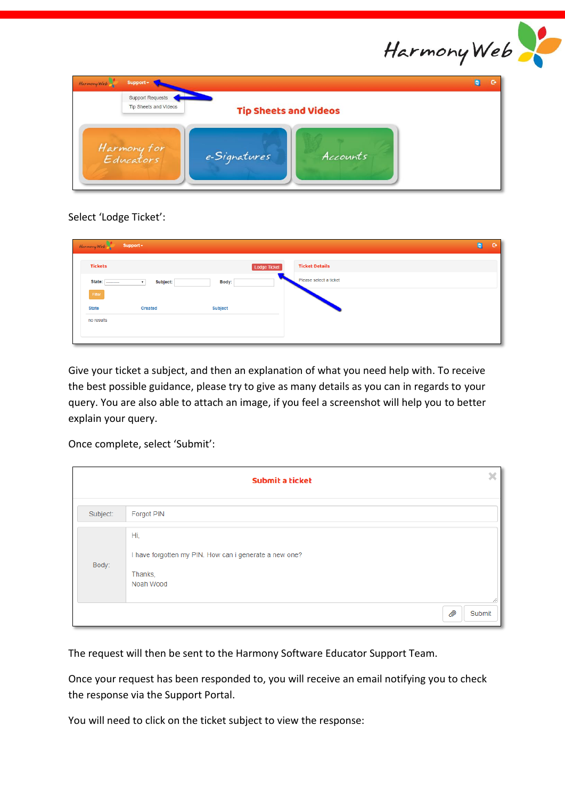

| Harmony Web | Support -                                        |                              |          | Đ | o |
|-------------|--------------------------------------------------|------------------------------|----------|---|---|
|             | Support Requests<br><b>Tip Sheets and Videos</b> | <b>Tip Sheets and Videos</b> |          |   |   |
|             | Harmony for<br>Educators                         | e-Signatures                 | Accounts |   |   |

Select 'Lodge Ticket':

| <b>Ticket Details</b><br><b>Tickets</b><br><b>Lodge Ticket</b><br>Please select a ticket<br>State:<br>Body:<br>Subject:<br>$\pmb{\mathrm{v}}$<br>---------<br>Filter<br><b>Subject</b><br><b>State</b><br><b>Created</b> |  |
|--------------------------------------------------------------------------------------------------------------------------------------------------------------------------------------------------------------------------|--|
|                                                                                                                                                                                                                          |  |
|                                                                                                                                                                                                                          |  |
|                                                                                                                                                                                                                          |  |
|                                                                                                                                                                                                                          |  |
| no results                                                                                                                                                                                                               |  |

Give your ticket a subject, and then an explanation of what you need help with. To receive the best possible guidance, please try to give as many details as you can in regards to your query. You are also able to attach an image, if you feel a screenshot will help you to better explain your query.

Once complete, select 'Submit':

|          | ×<br>Submit a ticket                                                                  |
|----------|---------------------------------------------------------------------------------------|
| Subject: | Forgot PIN                                                                            |
| Body:    | Hi.<br>I have forgotten my PIN. How can i generate a new one?<br>Thanks,<br>Noah Wood |
|          | Ø)<br>Submit                                                                          |

The request will then be sent to the Harmony Software Educator Support Team.

Once your request has been responded to, you will receive an email notifying you to check the response via the Support Portal.

You will need to click on the ticket subject to view the response: